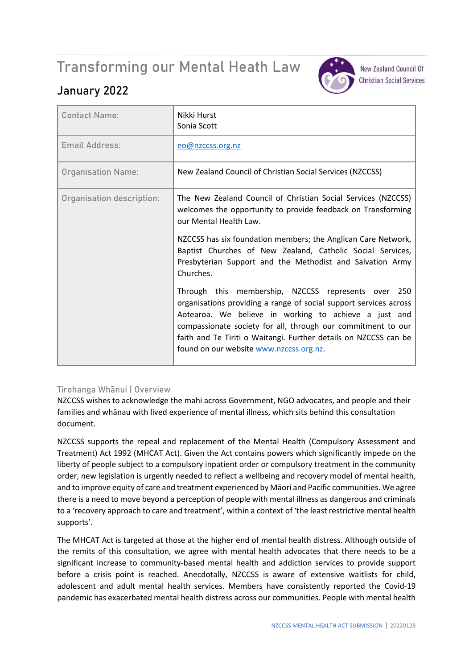# Transforming our Mental Heath Law



**New Zealand Council Of Christian Social Services** 

# **January 2022**

| <b>Contact Name:</b>      | Nikki Hurst<br>Sonia Scott                                                                                                                                                                                                                                                                                                                                       |
|---------------------------|------------------------------------------------------------------------------------------------------------------------------------------------------------------------------------------------------------------------------------------------------------------------------------------------------------------------------------------------------------------|
| Email Address:            | eo@nzccss.org.nz                                                                                                                                                                                                                                                                                                                                                 |
| <b>Organisation Name:</b> | New Zealand Council of Christian Social Services (NZCCSS)                                                                                                                                                                                                                                                                                                        |
| Organisation description: | The New Zealand Council of Christian Social Services (NZCCSS)<br>welcomes the opportunity to provide feedback on Transforming<br>our Mental Health Law.                                                                                                                                                                                                          |
|                           | NZCCSS has six foundation members; the Anglican Care Network,<br>Baptist Churches of New Zealand, Catholic Social Services,<br>Presbyterian Support and the Methodist and Salvation Army<br>Churches.                                                                                                                                                            |
|                           | Through this membership, NZCCSS represents over 250<br>organisations providing a range of social support services across<br>Aotearoa. We believe in working to achieve a just and<br>compassionate society for all, through our commitment to our<br>faith and Te Tiriti o Waitangi. Further details on NZCCSS can be<br>found on our website www.nzccss.org.nz. |

# **Tirohanga Whānui | Overview**

NZCCSS wishes to acknowledge the mahi across Government, NGO advocates, and people and their families and whānau with lived experience of mental illness, which sits behind this consultation document.

NZCCSS supports the repeal and replacement of the Mental Health (Compulsory Assessment and Treatment) Act 1992 (MHCAT Act). Given the Act contains powers which significantly impede on the liberty of people subject to a compulsory inpatient order or compulsory treatment in the community order, new legislation is urgently needed to reflect a wellbeing and recovery model of mental health, and to improve equity of care and treatment experienced by Māori and Pacific communities. We agree there is a need to move beyond a perception of people with mental illness as dangerous and criminals to a 'recovery approach to care and treatment', within a context of 'the least restrictive mental health supports'.

The MHCAT Act is targeted at those at the higher end of mental health distress. Although outside of the remits of this consultation, we agree with mental health advocates that there needs to be a significant increase to community-based mental health and addiction services to provide support before a crisis point is reached. Anecdotally, NZCCSS is aware of extensive waitlists for child, adolescent and adult mental health services. Members have consistently reported the Covid-19 pandemic has exacerbated mental health distress across our communities. People with mental health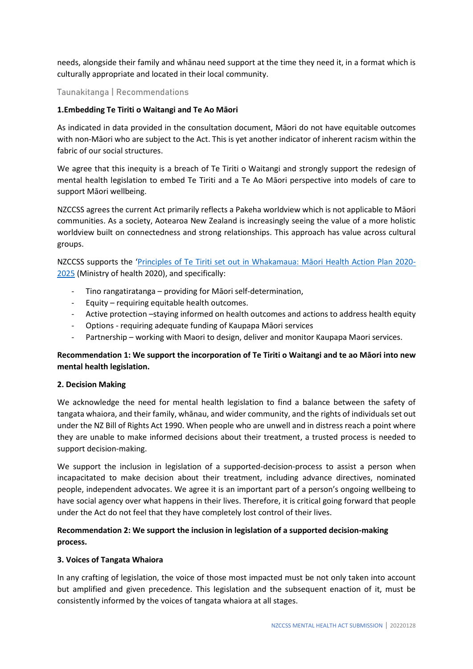needs, alongside their family and whānau need support at the time they need it, in a format which is culturally appropriate and located in their local community.

# **Taunakitanga | Recommendations**

#### **1.Embedding Te Tiriti o Waitangi and Te Ao Māori**

As indicated in data provided in the consultation document, Māori do not have equitable outcomes with non-Māori who are subject to the Act. This is yet another indicator of inherent racism within the fabric of our social structures.

We agree that this inequity is a breach of Te Tiriti o Waitangi and strongly support the redesign of mental health legislation to embed Te Tiriti and a Te Ao Māori perspective into models of care to support Māori wellbeing.

NZCCSS agrees the current Act primarily reflects a Pakeha worldview which is not applicable to Māori communities. As a society, Aotearoa New Zealand is increasingly seeing the value of a more holistic worldview built on connectedness and strong relationships. This approach has value across cultural groups.

NZCCSS supports the '[Principles of Te Tiriti set out in Whakamaua: M](https://www.health.govt.nz/system/files/documents/publications/whakamaua-maori-health-action-plan-2020-2025-2.pdf)āori Health Action Plan 2020- [2025](https://www.health.govt.nz/system/files/documents/publications/whakamaua-maori-health-action-plan-2020-2025-2.pdf) (Ministry of health 2020), and specifically:

- Tino rangatiratanga providing for Māori self-determination,
- Equity requiring equitable health outcomes.
- Active protection –staying informed on health outcomes and actions to address health equity
- Options requiring adequate funding of Kaupapa Māori services
- Partnership working with Maori to design, deliver and monitor Kaupapa Maori services.

# **Recommendation 1: We support the incorporation of Te Tiriti o Waitangi and te ao Māori into new mental health legislation.**

#### **2. Decision Making**

We acknowledge the need for mental health legislation to find a balance between the safety of tangata whaiora, and their family, whānau, and wider community, and the rights of individuals set out under the NZ Bill of Rights Act 1990. When people who are unwell and in distress reach a point where they are unable to make informed decisions about their treatment, a trusted process is needed to support decision-making.

We support the inclusion in legislation of a supported-decision-process to assist a person when incapacitated to make decision about their treatment, including advance directives, nominated people, independent advocates. We agree it is an important part of a person's ongoing wellbeing to have social agency over what happens in their lives. Therefore, it is critical going forward that people under the Act do not feel that they have completely lost control of their lives.

# **Recommendation 2: We support the inclusion in legislation of a supported decision-making process.**

#### **3. Voices of Tangata Whaiora**

In any crafting of legislation, the voice of those most impacted must be not only taken into account but amplified and given precedence. This legislation and the subsequent enaction of it, must be consistently informed by the voices of tangata whaiora at all stages.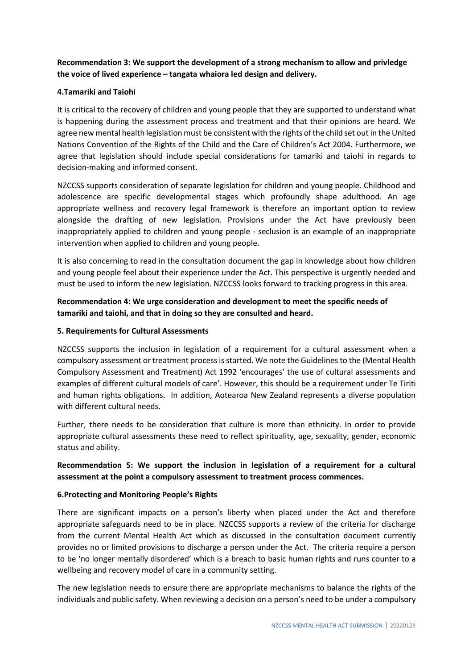# **Recommendation 3: We support the development of a strong mechanism to allow and privledge the voice of lived experience – tangata whaiora led design and delivery.**

#### **4.Tamariki and Taiohi**

It is critical to the recovery of children and young people that they are supported to understand what is happening during the assessment process and treatment and that their opinions are heard. We agree new mental health legislation must be consistent with the rights of the child set out in the United Nations Convention of the Rights of the Child and the Care of Children's Act 2004. Furthermore, we agree that legislation should include special considerations for tamariki and taiohi in regards to decision-making and informed consent.

NZCCSS supports consideration of separate legislation for children and young people. Childhood and adolescence are specific developmental stages which profoundly shape adulthood. An age appropriate wellness and recovery legal framework is therefore an important option to review alongside the drafting of new legislation. Provisions under the Act have previously been inappropriately applied to children and young people - seclusion is an example of an inappropriate intervention when applied to children and young people.

It is also concerning to read in the consultation document the gap in knowledge about how children and young people feel about their experience under the Act. This perspective is urgently needed and must be used to inform the new legislation. NZCCSS looks forward to tracking progress in this area.

# **Recommendation 4: We urge consideration and development to meet the specific needs of tamariki and taiohi, and that in doing so they are consulted and heard.**

#### **5. Requirements for Cultural Assessments**

NZCCSS supports the inclusion in legislation of a requirement for a cultural assessment when a compulsory assessment or treatment process is started. We note the Guidelines to the (Mental Health Compulsory Assessment and Treatment) Act 1992 'encourages' the use of cultural assessments and examples of different cultural models of care'. However, this should be a requirement under Te Tiriti and human rights obligations. In addition, Aotearoa New Zealand represents a diverse population with different cultural needs.

Further, there needs to be consideration that culture is more than ethnicity. In order to provide appropriate cultural assessments these need to reflect spirituality, age, sexuality, gender, economic status and ability.

# **Recommendation 5: We support the inclusion in legislation of a requirement for a cultural assessment at the point a compulsory assessment to treatment process commences.**

#### **6.Protecting and Monitoring People's Rights**

There are significant impacts on a person's liberty when placed under the Act and therefore appropriate safeguards need to be in place. NZCCSS supports a review of the criteria for discharge from the current Mental Health Act which as discussed in the consultation document currently provides no or limited provisions to discharge a person under the Act. The criteria require a person to be 'no longer mentally disordered' which is a breach to basic human rights and runs counter to a wellbeing and recovery model of care in a community setting.

The new legislation needs to ensure there are appropriate mechanisms to balance the rights of the individuals and public safety. When reviewing a decision on a person's need to be under a compulsory